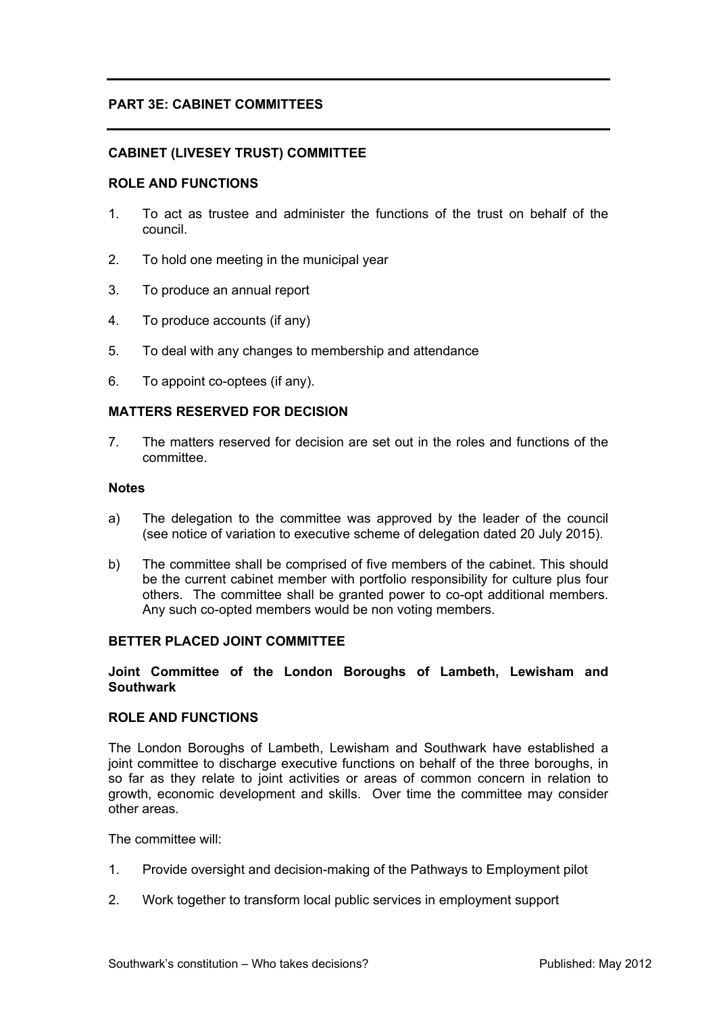# **PART 3E: CABINET COMMITTEES**

## **CABINET (LIVESEY TRUST) COMMITTEE**

### **ROLE AND FUNCTIONS**

- 1. To act as trustee and administer the functions of the trust on behalf of the council.
- 2. To hold one meeting in the municipal year
- 3. To produce an annual report
- 4. To produce accounts (if any)
- 5. To deal with any changes to membership and attendance
- 6. To appoint co-optees (if any).

#### **MATTERS RESERVED FOR DECISION**

7. The matters reserved for decision are set out in the roles and functions of the committee.

#### **Notes**

- a) The delegation to the committee was approved by the leader of the council (see notice of variation to executive scheme of delegation dated 20 July 2015).
- b) The committee shall be comprised of five members of the cabinet. This should be the current cabinet member with portfolio responsibility for culture plus four others. The committee shall be granted power to co-opt additional members. Any such co-opted members would be non voting members.

#### **BETTER PLACED JOINT COMMITTEE**

### **Joint Committee of the London Boroughs of Lambeth, Lewisham and Southwark**

## **ROLE AND FUNCTIONS**

The London Boroughs of Lambeth, Lewisham and Southwark have established a joint committee to discharge executive functions on behalf of the three boroughs, in so far as they relate to joint activities or areas of common concern in relation to growth, economic development and skills. Over time the committee may consider other areas.

The committee will:

- 1. Provide oversight and decision-making of the Pathways to Employment pilot
- 2. Work together to transform local public services in employment support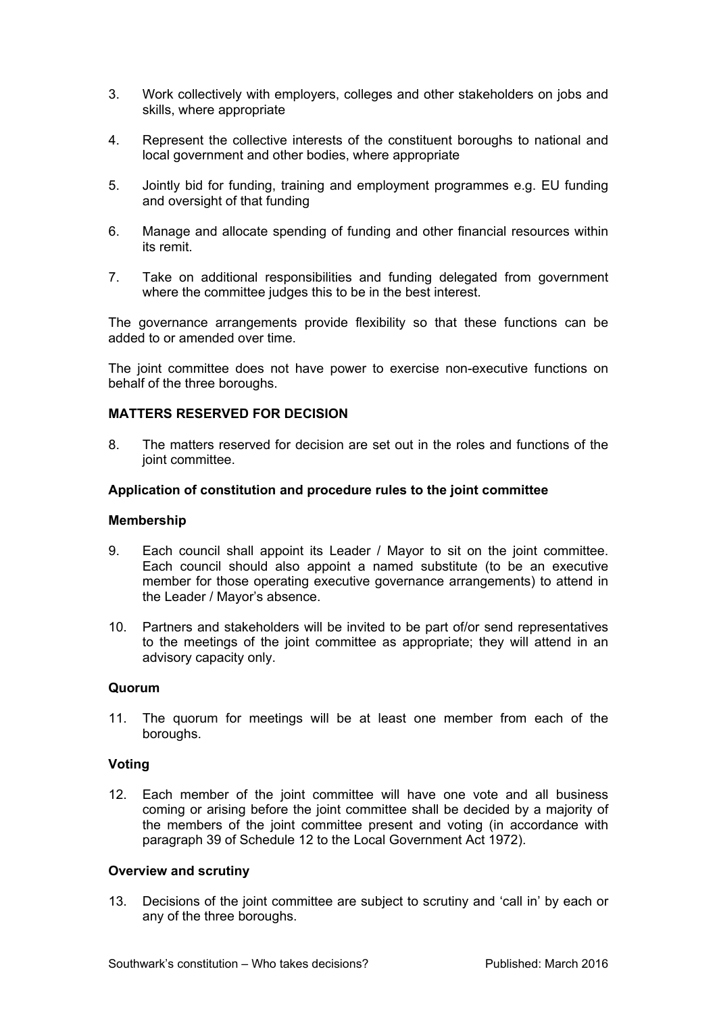- 3. Work collectively with employers, colleges and other stakeholders on jobs and skills, where appropriate
- 4. Represent the collective interests of the constituent boroughs to national and local government and other bodies, where appropriate
- 5. Jointly bid for funding, training and employment programmes e.g. EU funding and oversight of that funding
- 6. Manage and allocate spending of funding and other financial resources within its remit.
- 7. Take on additional responsibilities and funding delegated from government where the committee judges this to be in the best interest.

The governance arrangements provide flexibility so that these functions can be added to or amended over time.

The joint committee does not have power to exercise non-executive functions on behalf of the three boroughs.

## **MATTERS RESERVED FOR DECISION**

8. The matters reserved for decision are set out in the roles and functions of the joint committee.

### **Application of constitution and procedure rules to the joint committee**

### **Membership**

- 9. Each council shall appoint its Leader / Mayor to sit on the joint committee. Each council should also appoint a named substitute (to be an executive member for those operating executive governance arrangements) to attend in the Leader / Mayor's absence.
- 10. Partners and stakeholders will be invited to be part of/or send representatives to the meetings of the joint committee as appropriate; they will attend in an advisory capacity only.

### **Quorum**

11. The quorum for meetings will be at least one member from each of the boroughs.

## **Voting**

12. Each member of the joint committee will have one vote and all business coming or arising before the joint committee shall be decided by a majority of the members of the joint committee present and voting (in accordance with paragraph 39 of Schedule 12 to the Local Government Act 1972).

### **Overview and scrutiny**

13. Decisions of the joint committee are subject to scrutiny and 'call in' by each or any of the three boroughs.